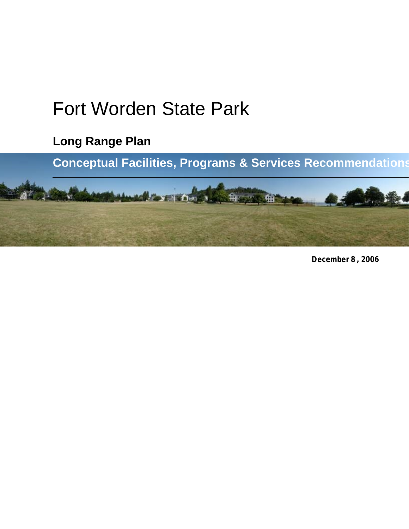# Fort Worden State Park

**Long Range Plan**

**Conceptual Facilities, Programs & Services Recommendations**



**December 8 , 2006**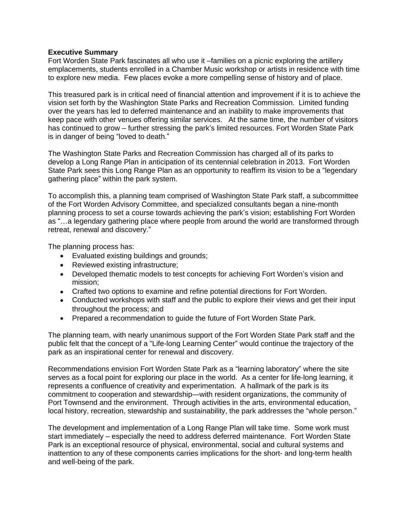#### **Executive Summary**

Fort Worden State Park fascinates all who use it –families on a picnic exploring the artillery emplacements, students enrolled in a Chamber Music workshop or artists in residence with time to explore new media. Few places evoke a more compelling sense of history and of place.

This treasured park is in critical need of financial attention and improvement if it is to achieve the vision set forth by the Washington State Parks and Recreation Commission. Limited funding over the years has led to deferred maintenance and an inability to make improvements that keep pace with other venues offering similar services. At the same time, the number of visitors has continued to grow – further stressing the park's limited resources. Fort Worden State Park is in danger of being "loved to death."

The Washington State Parks and Recreation Commission has charged all of its parks to develop a Long Range Plan in anticipation of its centennial celebration in 2013. Fort Worden State Park sees this Long Range Plan as an opportunity to reaffirm its vision to be a "legendary gathering place" within the park system.

To accomplish this, a planning team comprised of Washington State Park staff, a subcommittee of the Fort Worden Advisory Committee, and specialized consultants began a nine-month planning process to set a course towards achieving the park's vision; establishing Fort Worden as "…a legendary gathering place where people from around the world are transformed through retreat, renewal and discovery."

The planning process has:

- Evaluated existing buildings and grounds;
- Reviewed existing infrastructure;
- Developed thematic models to test concepts for achieving Fort Worden's vision and mission;
- Crafted two options to examine and refine potential directions for Fort Worden.
- Conducted workshops with staff and the public to explore their views and get their input throughout the process; and
- Prepared a recommendation to quide the future of Fort Worden State Park.

The planning team, with nearly unanimous support of the Fort Worden State Park staff and the public felt that the concept of a "Life-long Learning Center" would continue the trajectory of the park as an inspirational center for renewal and discovery.

Recommendations envision Fort Worden State Park as a "learning laboratory" where the site serves as a focal point for exploring our place in the world. As a center for life-long learning, it represents a confluence of creativity and experimentation. A hallmark of the park is its commitment to cooperation and stewardship—with resident organizations, the community of Port Townsend and the environment. Through activities in the arts, environmental education, local history, recreation, stewardship and sustainability, the park addresses the "whole person."

The development and implementation of a Long Range Plan will take time. Some work must start immediately – especially the need to address deferred maintenance. Fort Worden State Park is an exceptional resource of physical, environmental, social and cultural systems and inattention to any of these components carries implications for the short- and long-term health and well-being of the park.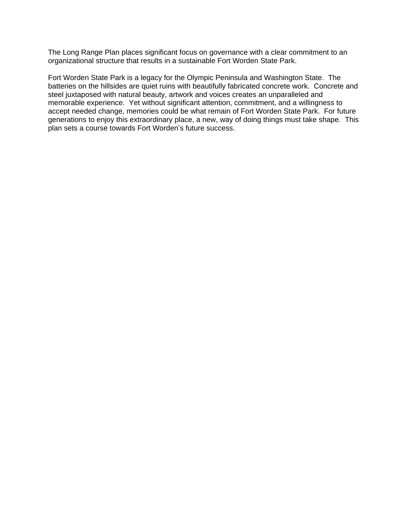The Long Range Plan places significant focus on governance with a clear commitment to an organizational structure that results in a sustainable Fort Worden State Park.

Fort Worden State Park is a legacy for the Olympic Peninsula and Washington State. The batteries on the hillsides are quiet ruins with beautifully fabricated concrete work. Concrete and steel juxtaposed with natural beauty, artwork and voices creates an unparalleled and memorable experience. Yet without significant attention, commitment, and a willingness to accept needed change, memories could be what remain of Fort Worden State Park. For future generations to enjoy this extraordinary place, a new, way of doing things must take shape. This plan sets a course towards Fort Worden's future success.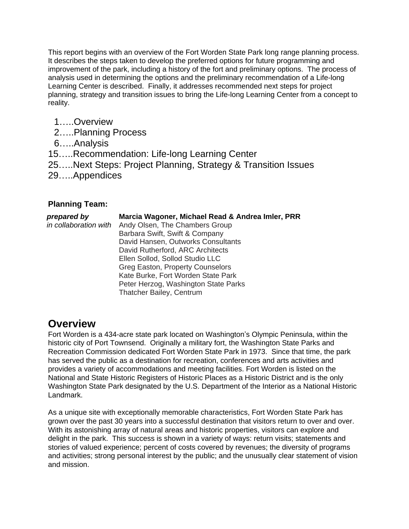This report begins with an overview of the Fort Worden State Park long range planning process. It describes the steps taken to develop the preferred options for future programming and improvement of the park, including a history of the fort and preliminary options. The process of analysis used in determining the options and the preliminary recommendation of a Life-long Learning Center is described. Finally, it addresses recommended next steps for project planning, strategy and transition issues to bring the Life-long Learning Center from a concept to reality.

- 1…..Overview
- 2…..Planning Process
- 6…..Analysis
- 15…..Recommendation: Life-long Learning Center
- 25…..Next Steps: Project Planning, Strategy & Transition Issues
- 29…..Appendices

### **Planning Team:**

| prepared by<br>in collaboration with | Marcia Wagoner, Michael Read & Andrea Imler, PRR<br>Andy Olsen, The Chambers Group<br>Barbara Swift, Swift & Company<br>David Hansen, Outworks Consultants<br>David Rutherford, ARC Architects<br>Ellen Sollod, Sollod Studio LLC<br><b>Greg Easton, Property Counselors</b><br>Kate Burke, Fort Worden State Park |
|--------------------------------------|--------------------------------------------------------------------------------------------------------------------------------------------------------------------------------------------------------------------------------------------------------------------------------------------------------------------|
|                                      | Peter Herzog, Washington State Parks<br>Thatcher Bailey, Centrum                                                                                                                                                                                                                                                   |

# **Overview**

Fort Worden is a 434-acre state park located on Washington's Olympic Peninsula, within the historic city of Port Townsend. Originally a military fort, the Washington State Parks and Recreation Commission dedicated Fort Worden State Park in 1973. Since that time, the park has served the public as a destination for recreation, conferences and arts activities and provides a variety of accommodations and meeting facilities. Fort Worden is listed on the National and State Historic Registers of Historic Places as a Historic District and is the only Washington State Park designated by the U.S. Department of the Interior as a National Historic Landmark.

As a unique site with exceptionally memorable characteristics, Fort Worden State Park has grown over the past 30 years into a successful destination that visitors return to over and over. With its astonishing array of natural areas and historic properties, visitors can explore and delight in the park. This success is shown in a variety of ways: return visits; statements and stories of valued experience; percent of costs covered by revenues; the diversity of programs and activities; strong personal interest by the public; and the unusually clear statement of vision and mission.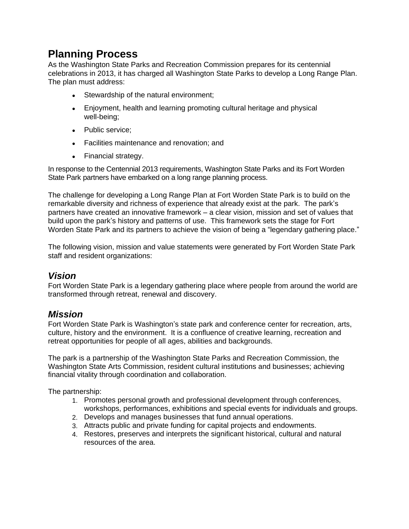# **Planning Process**

As the Washington State Parks and Recreation Commission prepares for its centennial celebrations in 2013, it has charged all Washington State Parks to develop a Long Range Plan. The plan must address:

- Stewardship of the natural environment;
- Enjoyment, health and learning promoting cultural heritage and physical well-being;
- Public service;
- Facilities maintenance and renovation; and
- Financial strategy.

In response to the Centennial 2013 requirements, Washington State Parks and its Fort Worden State Park partners have embarked on a long range planning process.

The challenge for developing a Long Range Plan at Fort Worden State Park is to build on the remarkable diversity and richness of experience that already exist at the park. The park's partners have created an innovative framework – a clear vision, mission and set of values that build upon the park's history and patterns of use. This framework sets the stage for Fort Worden State Park and its partners to achieve the vision of being a "legendary gathering place."

The following vision, mission and value statements were generated by Fort Worden State Park staff and resident organizations:

### *Vision*

Fort Worden State Park is a legendary gathering place where people from around the world are transformed through retreat, renewal and discovery.

# *Mission*

Fort Worden State Park is Washington's state park and conference center for recreation, arts, culture, history and the environment. It is a confluence of creative learning, recreation and retreat opportunities for people of all ages, abilities and backgrounds.

The park is a partnership of the Washington State Parks and Recreation Commission, the Washington State Arts Commission, resident cultural institutions and businesses; achieving financial vitality through coordination and collaboration.

The partnership:

- 1. Promotes personal growth and professional development through conferences, workshops, performances, exhibitions and special events for individuals and groups.
- 2. Develops and manages businesses that fund annual operations.
- 3. Attracts public and private funding for capital projects and endowments.
- 4. Restores, preserves and interprets the significant historical, cultural and natural resources of the area.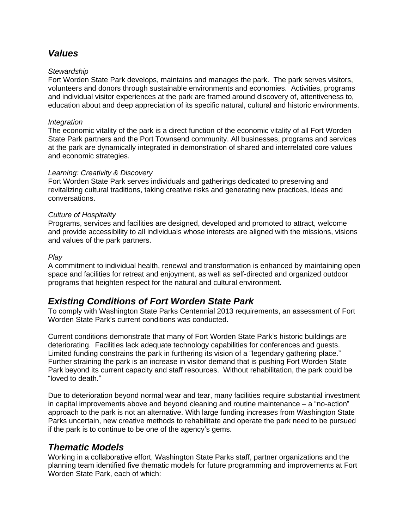# *Values*

### *Stewardship*

Fort Worden State Park develops, maintains and manages the park. The park serves visitors, volunteers and donors through sustainable environments and economies. Activities, programs and individual visitor experiences at the park are framed around discovery of, attentiveness to, education about and deep appreciation of its specific natural, cultural and historic environments.

### *Integration*

The economic vitality of the park is a direct function of the economic vitality of all Fort Worden State Park partners and the Port Townsend community. All businesses, programs and services at the park are dynamically integrated in demonstration of shared and interrelated core values and economic strategies.

### *Learning: Creativity & Discovery*

Fort Worden State Park serves individuals and gatherings dedicated to preserving and revitalizing cultural traditions, taking creative risks and generating new practices, ideas and conversations.

### *Culture of Hospitality*

Programs, services and facilities are designed, developed and promoted to attract, welcome and provide accessibility to all individuals whose interests are aligned with the missions, visions and values of the park partners.

### *Play*

A commitment to individual health, renewal and transformation is enhanced by maintaining open space and facilities for retreat and enjoyment, as well as self-directed and organized outdoor programs that heighten respect for the natural and cultural environment.

# *Existing Conditions of Fort Worden State Park*

To comply with Washington State Parks Centennial 2013 requirements, an assessment of Fort Worden State Park's current conditions was conducted.

Current conditions demonstrate that many of Fort Worden State Park's historic buildings are deteriorating. Facilities lack adequate technology capabilities for conferences and guests. Limited funding constrains the park in furthering its vision of a "legendary gathering place." Further straining the park is an increase in visitor demand that is pushing Fort Worden State Park beyond its current capacity and staff resources. Without rehabilitation, the park could be "loved to death."

Due to deterioration beyond normal wear and tear, many facilities require substantial investment in capital improvements above and beyond cleaning and routine maintenance – a "no-action" approach to the park is not an alternative. With large funding increases from Washington State Parks uncertain, new creative methods to rehabilitate and operate the park need to be pursued if the park is to continue to be one of the agency's gems.

# *Thematic Models*

Working in a collaborative effort, Washington State Parks staff, partner organizations and the planning team identified five thematic models for future programming and improvements at Fort Worden State Park, each of which: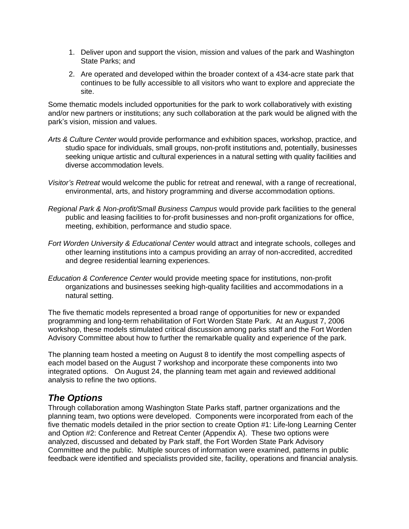- 1. Deliver upon and support the vision, mission and values of the park and Washington State Parks; and
- 2. Are operated and developed within the broader context of a 434-acre state park that continues to be fully accessible to all visitors who want to explore and appreciate the site.

Some thematic models included opportunities for the park to work collaboratively with existing and/or new partners or institutions; any such collaboration at the park would be aligned with the park's vision, mission and values.

- *Arts & Culture Center* would provide performance and exhibition spaces, workshop, practice, and studio space for individuals, small groups, non-profit institutions and, potentially, businesses seeking unique artistic and cultural experiences in a natural setting with quality facilities and diverse accommodation levels.
- *Visitor's Retreat* would welcome the public for retreat and renewal, with a range of recreational, environmental, arts, and history programming and diverse accommodation options.
- *Regional Park & Non-profit/Small Business Campus* would provide park facilities to the general public and leasing facilities to for-profit businesses and non-profit organizations for office, meeting, exhibition, performance and studio space.
- *Fort Worden University & Educational Center* would attract and integrate schools, colleges and other learning institutions into a campus providing an array of non-accredited, accredited and degree residential learning experiences.
- *Education & Conference Center* would provide meeting space for institutions, non-profit organizations and businesses seeking high-quality facilities and accommodations in a natural setting.

The five thematic models represented a broad range of opportunities for new or expanded programming and long-term rehabilitation of Fort Worden State Park. At an August 7, 2006 workshop, these models stimulated critical discussion among parks staff and the Fort Worden Advisory Committee about how to further the remarkable quality and experience of the park.

The planning team hosted a meeting on August 8 to identify the most compelling aspects of each model based on the August 7 workshop and incorporate these components into two integrated options. On August 24, the planning team met again and reviewed additional analysis to refine the two options.

# *The Options*

Through collaboration among Washington State Parks staff, partner organizations and the planning team, two options were developed. Components were incorporated from each of the five thematic models detailed in the prior section to create Option #1: Life-long Learning Center and Option #2: Conference and Retreat Center (Appendix A). These two options were analyzed, discussed and debated by Park staff, the Fort Worden State Park Advisory Committee and the public. Multiple sources of information were examined, patterns in public feedback were identified and specialists provided site, facility, operations and financial analysis.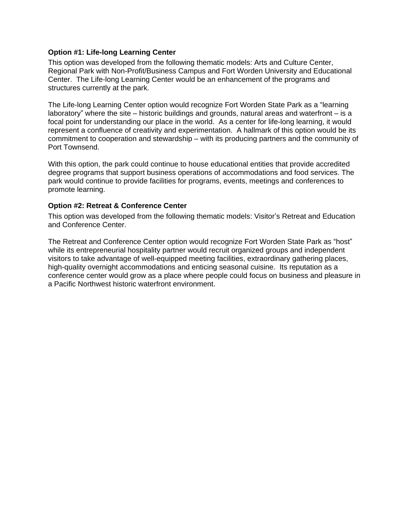### **Option #1: Life-long Learning Center**

This option was developed from the following thematic models: Arts and Culture Center, Regional Park with Non-Profit/Business Campus and Fort Worden University and Educational Center. The Life-long Learning Center would be an enhancement of the programs and structures currently at the park.

The Life-long Learning Center option would recognize Fort Worden State Park as a "learning laboratory" where the site – historic buildings and grounds, natural areas and waterfront – is a focal point for understanding our place in the world. As a center for life-long learning, it would represent a confluence of creativity and experimentation. A hallmark of this option would be its commitment to cooperation and stewardship – with its producing partners and the community of Port Townsend.

With this option, the park could continue to house educational entities that provide accredited degree programs that support business operations of accommodations and food services. The park would continue to provide facilities for programs, events, meetings and conferences to promote learning.

### **Option #2: Retreat & Conference Center**

This option was developed from the following thematic models: Visitor's Retreat and Education and Conference Center.

The Retreat and Conference Center option would recognize Fort Worden State Park as "host" while its entrepreneurial hospitality partner would recruit organized groups and independent visitors to take advantage of well-equipped meeting facilities, extraordinary gathering places, high-quality overnight accommodations and enticing seasonal cuisine. Its reputation as a conference center would grow as a place where people could focus on business and pleasure in a Pacific Northwest historic waterfront environment.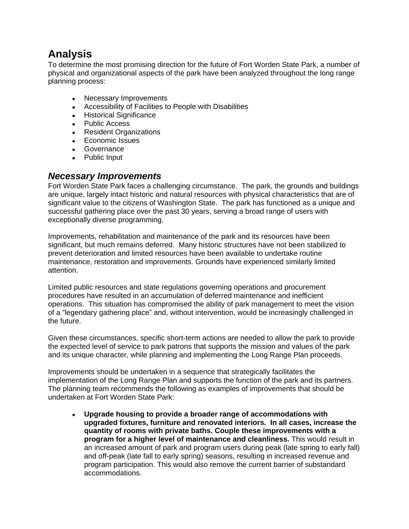# **Analysis**

To determine the most promising direction for the future of Fort Worden State Park, a number of physical and organizational aspects of the park have been analyzed throughout the long range planning process:

- Necessary Improvements
- Accessibility of Facilities to People with Disabilities
- Historical Significance
- Public Access
- Resident Organizations
- Economic Issues
- Governance
- Public Input

### *Necessary Improvements*

Fort Worden State Park faces a challenging circumstance. The park, the grounds and buildings are unique, largely intact historic and natural resources with physical characteristics that are of significant value to the citizens of Washington State. The park has functioned as a unique and successful gathering place over the past 30 years, serving a broad range of users with exceptionally diverse programming.

Improvements, rehabilitation and maintenance of the park and its resources have been significant, but much remains deferred. Many historic structures have not been stabilized to prevent deterioration and limited resources have been available to undertake routine maintenance, restoration and improvements. Grounds have experienced similarly limited attention.

Limited public resources and state regulations governing operations and procurement procedures have resulted in an accumulation of deferred maintenance and inefficient operations. This situation has compromised the ability of park management to meet the vision of a "legendary gathering place" and, without intervention, would be increasingly challenged in the future.

Given these circumstances, specific short-term actions are needed to allow the park to provide the expected level of service to park patrons that supports the mission and values of the park and its unique character, while planning and implementing the Long Range Plan proceeds.

Improvements should be undertaken in a sequence that strategically facilitates the implementation of the Long Range Plan and supports the function of the park and its partners. The planning team recommends the following as examples of improvements that should be undertaken at Fort Worden State Park:

 **Upgrade housing to provide a broader range of accommodations with upgraded fixtures, furniture and renovated interiors. In all cases, increase the quantity of rooms with private baths. Couple these improvements with a program for a higher level of maintenance and cleanliness.** This would result in an increased amount of park and program users during peak (late spring to early fall) and off-peak (late fall to early spring) seasons, resulting in increased revenue and program participation. This would also remove the current barrier of substandard accommodations.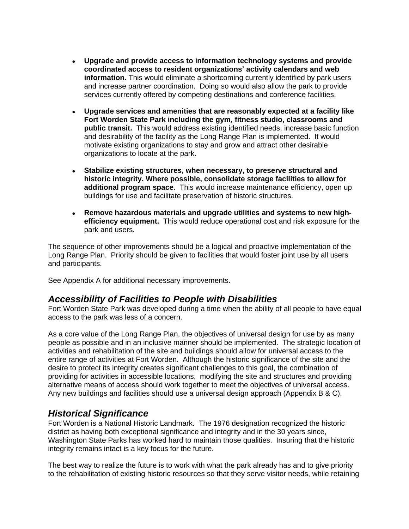- **Upgrade and provide access to information technology systems and provide coordinated access to resident organizations' activity calendars and web information.** This would eliminate a shortcoming currently identified by park users and increase partner coordination. Doing so would also allow the park to provide services currently offered by competing destinations and conference facilities.
- **Upgrade services and amenities that are reasonably expected at a facility like Fort Worden State Park including the gym, fitness studio, classrooms and public transit.** This would address existing identified needs, increase basic function and desirability of the facility as the Long Range Plan is implemented. It would motivate existing organizations to stay and grow and attract other desirable organizations to locate at the park.
- **Stabilize existing structures, when necessary, to preserve structural and historic integrity. Where possible, consolidate storage facilities to allow for additional program space**. This would increase maintenance efficiency, open up buildings for use and facilitate preservation of historic structures.
- **Remove hazardous materials and upgrade utilities and systems to new highefficiency equipment.** This would reduce operational cost and risk exposure for the park and users.

The sequence of other improvements should be a logical and proactive implementation of the Long Range Plan. Priority should be given to facilities that would foster joint use by all users and participants.

See Appendix A for additional necessary improvements.

### *Accessibility of Facilities to People with Disabilities*

Fort Worden State Park was developed during a time when the ability of all people to have equal access to the park was less of a concern.

As a core value of the Long Range Plan, the objectives of universal design for use by as many people as possible and in an inclusive manner should be implemented. The strategic location of activities and rehabilitation of the site and buildings should allow for universal access to the entire range of activities at Fort Worden. Although the historic significance of the site and the desire to protect its integrity creates significant challenges to this goal, the combination of providing for activities in accessible locations, modifying the site and structures and providing alternative means of access should work together to meet the objectives of universal access. Any new buildings and facilities should use a universal design approach (Appendix B & C).

# *Historical Significance*

Fort Worden is a National Historic Landmark. The 1976 designation recognized the historic district as having both exceptional significance and integrity and in the 30 years since, Washington State Parks has worked hard to maintain those qualities. Insuring that the historic integrity remains intact is a key focus for the future.

The best way to realize the future is to work with what the park already has and to give priority to the rehabilitation of existing historic resources so that they serve visitor needs, while retaining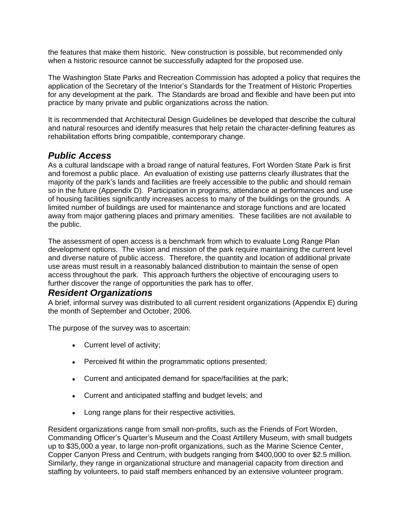the features that make them historic. New construction is possible, but recommended only when a historic resource cannot be successfully adapted for the proposed use.

The Washington State Parks and Recreation Commission has adopted a policy that requires the application of the Secretary of the Interior's Standards for the Treatment of Historic Properties for any development at the park. The Standards are broad and flexible and have been put into practice by many private and public organizations across the nation.

It is recommended that Architectural Design Guidelines be developed that describe the cultural and natural resources and identify measures that help retain the character-defining features as rehabilitation efforts bring compatible, contemporary change.

# *Public Access*

As a cultural landscape with a broad range of natural features, Fort Worden State Park is first and foremost a public place. An evaluation of existing use patterns clearly illustrates that the majority of the park's lands and facilities are freely accessible to the public and should remain so in the future (Appendix D). Participation in programs, attendance at performances and use of housing facilities significantly increases access to many of the buildings on the grounds. A limited number of buildings are used for maintenance and storage functions and are located away from major gathering places and primary amenities. These facilities are not available to the public.

The assessment of open access is a benchmark from which to evaluate Long Range Plan development options. The vision and mission of the park require maintaining the current level and diverse nature of public access. Therefore, the quantity and location of additional private use areas must result in a reasonably balanced distribution to maintain the sense of open access throughout the park. This approach furthers the objective of encouraging users to further discover the range of opportunities the park has to offer.

# *Resident Organizations*

A brief, informal survey was distributed to all current resident organizations (Appendix E) during the month of September and October, 2006.

The purpose of the survey was to ascertain:

- Current level of activity;
- Perceived fit within the programmatic options presented;
- Current and anticipated demand for space/facilities at the park;
- Current and anticipated staffing and budget levels; and
- Long range plans for their respective activities.

Resident organizations range from small non-profits, such as the Friends of Fort Worden, Commanding Officer's Quarter's Museum and the Coast Artillery Museum, with small budgets up to \$35,000 a year, to large non-profit organizations, such as the Marine Science Center, Copper Canyon Press and Centrum, with budgets ranging from \$400,000 to over \$2.5 million. Similarly, they range in organizational structure and managerial capacity from direction and staffing by volunteers, to paid staff members enhanced by an extensive volunteer program.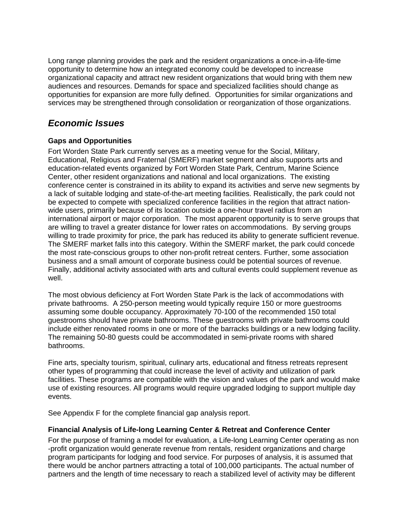Long range planning provides the park and the resident organizations a once-in-a-life-time opportunity to determine how an integrated economy could be developed to increase organizational capacity and attract new resident organizations that would bring with them new audiences and resources. Demands for space and specialized facilities should change as opportunities for expansion are more fully defined. Opportunities for similar organizations and services may be strengthened through consolidation or reorganization of those organizations.

# *Economic Issues*

### **Gaps and Opportunities**

Fort Worden State Park currently serves as a meeting venue for the Social, Military, Educational, Religious and Fraternal (SMERF) market segment and also supports arts and education-related events organized by Fort Worden State Park, Centrum, Marine Science Center, other resident organizations and national and local organizations. The existing conference center is constrained in its ability to expand its activities and serve new segments by a lack of suitable lodging and state-of-the-art meeting facilities. Realistically, the park could not be expected to compete with specialized conference facilities in the region that attract nationwide users, primarily because of its location outside a one-hour travel radius from an international airport or major corporation. The most apparent opportunity is to serve groups that are willing to travel a greater distance for lower rates on accommodations. By serving groups willing to trade proximity for price, the park has reduced its ability to generate sufficient revenue. The SMERF market falls into this category. Within the SMERF market, the park could concede the most rate-conscious groups to other non-profit retreat centers. Further, some association business and a small amount of corporate business could be potential sources of revenue. Finally, additional activity associated with arts and cultural events could supplement revenue as well.

The most obvious deficiency at Fort Worden State Park is the lack of accommodations with private bathrooms. A 250-person meeting would typically require 150 or more guestrooms assuming some double occupancy. Approximately 70-100 of the recommended 150 total guestrooms should have private bathrooms. These guestrooms with private bathrooms could include either renovated rooms in one or more of the barracks buildings or a new lodging facility. The remaining 50-80 guests could be accommodated in semi-private rooms with shared bathrooms.

Fine arts, specialty tourism, spiritual, culinary arts, educational and fitness retreats represent other types of programming that could increase the level of activity and utilization of park facilities. These programs are compatible with the vision and values of the park and would make use of existing resources. All programs would require upgraded lodging to support multiple day events.

See Appendix F for the complete financial gap analysis report.

### **Financial Analysis of Life-long Learning Center & Retreat and Conference Center**

For the purpose of framing a model for evaluation, a Life-long Learning Center operating as non -profit organization would generate revenue from rentals, resident organizations and charge program participants for lodging and food service. For purposes of analysis, it is assumed that there would be anchor partners attracting a total of 100,000 participants. The actual number of partners and the length of time necessary to reach a stabilized level of activity may be different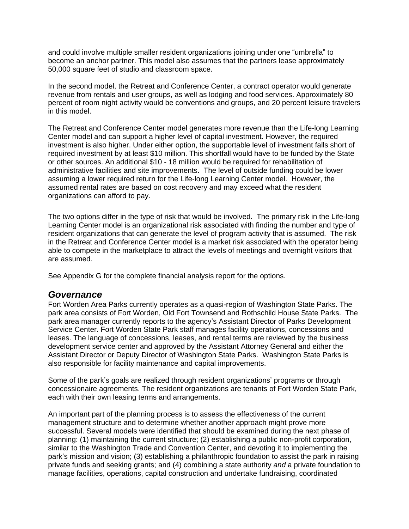and could involve multiple smaller resident organizations joining under one "umbrella" to become an anchor partner. This model also assumes that the partners lease approximately 50,000 square feet of studio and classroom space.

In the second model, the Retreat and Conference Center, a contract operator would generate revenue from rentals and user groups, as well as lodging and food services. Approximately 80 percent of room night activity would be conventions and groups, and 20 percent leisure travelers in this model.

The Retreat and Conference Center model generates more revenue than the Life-long Learning Center model and can support a higher level of capital investment. However, the required investment is also higher. Under either option, the supportable level of investment falls short of required investment by at least \$10 million. This shortfall would have to be funded by the State or other sources. An additional \$10 - 18 million would be required for rehabilitation of administrative facilities and site improvements. The level of outside funding could be lower assuming a lower required return for the Life-long Learning Center model. However, the assumed rental rates are based on cost recovery and may exceed what the resident organizations can afford to pay.

The two options differ in the type of risk that would be involved. The primary risk in the Life-long Learning Center model is an organizational risk associated with finding the number and type of resident organizations that can generate the level of program activity that is assumed. The risk in the Retreat and Conference Center model is a market risk associated with the operator being able to compete in the marketplace to attract the levels of meetings and overnight visitors that are assumed.

See Appendix G for the complete financial analysis report for the options.

### *Governance*

Fort Worden Area Parks currently operates as a quasi-region of Washington State Parks. The park area consists of Fort Worden, Old Fort Townsend and Rothschild House State Parks. The park area manager currently reports to the agency's Assistant Director of Parks Development Service Center. Fort Worden State Park staff manages facility operations, concessions and leases. The language of concessions, leases, and rental terms are reviewed by the business development service center and approved by the Assistant Attorney General and either the Assistant Director or Deputy Director of Washington State Parks. Washington State Parks is also responsible for facility maintenance and capital improvements.

Some of the park's goals are realized through resident organizations' programs or through concessionaire agreements. The resident organizations are tenants of Fort Worden State Park, each with their own leasing terms and arrangements.

An important part of the planning process is to assess the effectiveness of the current management structure and to determine whether another approach might prove more successful. Several models were identified that should be examined during the next phase of planning: (1) maintaining the current structure; (2) establishing a public non-profit corporation, similar to the Washington Trade and Convention Center, and devoting it to implementing the park's mission and vision; (3) establishing a philanthropic foundation to assist the park in raising private funds and seeking grants; and (4) combining a state authority *and* a private foundation to manage facilities, operations, capital construction and undertake fundraising, coordinated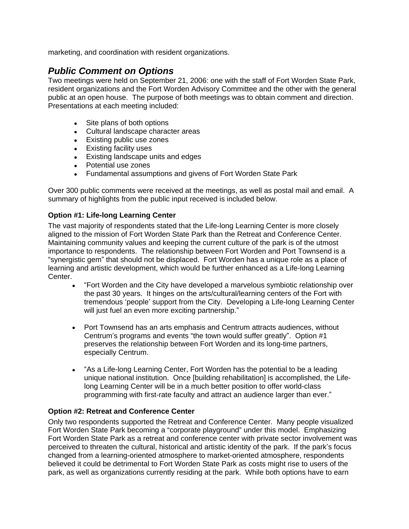marketing, and coordination with resident organizations.

# *Public Comment on Options*

Two meetings were held on September 21, 2006: one with the staff of Fort Worden State Park, resident organizations and the Fort Worden Advisory Committee and the other with the general public at an open house. The purpose of both meetings was to obtain comment and direction. Presentations at each meeting included:

- Site plans of both options
- Cultural landscape character areas
- Existing public use zones
- **Existing facility uses**
- Existing landscape units and edges
- Potential use zones
- Fundamental assumptions and givens of Fort Worden State Park

Over 300 public comments were received at the meetings, as well as postal mail and email. A summary of highlights from the public input received is included below.

### **Option #1: Life-long Learning Center**

The vast majority of respondents stated that the Life-long Learning Center is more closely aligned to the mission of Fort Worden State Park than the Retreat and Conference Center. Maintaining community values and keeping the current culture of the park is of the utmost importance to respondents. The relationship between Fort Worden and Port Townsend is a "synergistic gem" that should not be displaced. Fort Worden has a unique role as a place of learning and artistic development, which would be further enhanced as a Life-long Learning Center.

- "Fort Worden and the City have developed a marvelous symbiotic relationship over the past 30 years. It hinges on the arts/cultural/learning centers of the Fort with tremendous 'people' support from the City. Developing a Life-long Learning Center will just fuel an even more exciting partnership."
- Port Townsend has an arts emphasis and Centrum attracts audiences, without Centrum's programs and events "the town would suffer greatly". Option #1 preserves the relationship between Fort Worden and its long-time partners, especially Centrum.
- "As a Life-long Learning Center, Fort Worden has the potential to be a leading unique national institution. Once [building rehabilitation] is accomplished, the Lifelong Learning Center will be in a much better position to offer world-class programming with first-rate faculty and attract an audience larger than ever."

### **Option #2: Retreat and Conference Center**

Only two respondents supported the Retreat and Conference Center. Many people visualized Fort Worden State Park becoming a "corporate playground" under this model. Emphasizing Fort Worden State Park as a retreat and conference center with private sector involvement was perceived to threaten the cultural, historical and artistic identity of the park. If the park's focus changed from a learning-oriented atmosphere to market-oriented atmosphere, respondents believed it could be detrimental to Fort Worden State Park as costs might rise to users of the park, as well as organizations currently residing at the park. While both options have to earn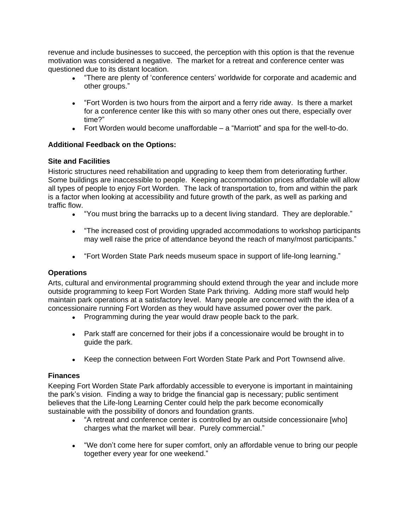revenue and include businesses to succeed, the perception with this option is that the revenue motivation was considered a negative. The market for a retreat and conference center was questioned due to its distant location.

- "There are plenty of 'conference centers' worldwide for corporate and academic and other groups."
- "Fort Worden is two hours from the airport and a ferry ride away. Is there a market for a conference center like this with so many other ones out there, especially over time?"
- Fort Worden would become unaffordable a "Marriott" and spa for the well-to-do.

### **Additional Feedback on the Options:**

### **Site and Facilities**

Historic structures need rehabilitation and upgrading to keep them from deteriorating further. Some buildings are inaccessible to people. Keeping accommodation prices affordable will allow all types of people to enjoy Fort Worden. The lack of transportation to, from and within the park is a factor when looking at accessibility and future growth of the park, as well as parking and traffic flow.

- "You must bring the barracks up to a decent living standard. They are deplorable."
- "The increased cost of providing upgraded accommodations to workshop participants may well raise the price of attendance beyond the reach of many/most participants."
- "Fort Worden State Park needs museum space in support of life-long learning."

### **Operations**

Arts, cultural and environmental programming should extend through the year and include more outside programming to keep Fort Worden State Park thriving. Adding more staff would help maintain park operations at a satisfactory level. Many people are concerned with the idea of a concessionaire running Fort Worden as they would have assumed power over the park.

- Programming during the year would draw people back to the park.
- Park staff are concerned for their jobs if a concessionaire would be brought in to guide the park.
- Keep the connection between Fort Worden State Park and Port Townsend alive.

### **Finances**

Keeping Fort Worden State Park affordably accessible to everyone is important in maintaining the park's vision. Finding a way to bridge the financial gap is necessary; public sentiment believes that the Life-long Learning Center could help the park become economically sustainable with the possibility of donors and foundation grants.

- "A retreat and conference center is controlled by an outside concessionaire [who] charges what the market will bear. Purely commercial."
- "We don't come here for super comfort, only an affordable venue to bring our people together every year for one weekend."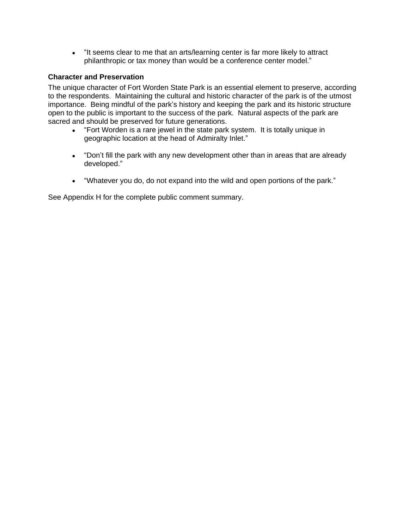"It seems clear to me that an arts/learning center is far more likely to attract philanthropic or tax money than would be a conference center model."

### **Character and Preservation**

The unique character of Fort Worden State Park is an essential element to preserve, according to the respondents. Maintaining the cultural and historic character of the park is of the utmost importance. Being mindful of the park's history and keeping the park and its historic structure open to the public is important to the success of the park. Natural aspects of the park are sacred and should be preserved for future generations.

- "Fort Worden is a rare jewel in the state park system. It is totally unique in geographic location at the head of Admiralty Inlet."
- "Don't fill the park with any new development other than in areas that are already developed."
- "Whatever you do, do not expand into the wild and open portions of the park."

See Appendix H for the complete public comment summary.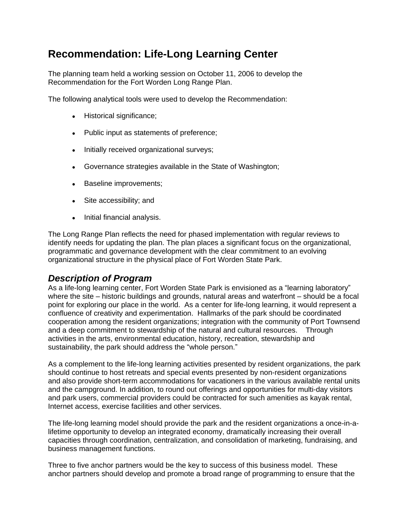# **Recommendation: Life-Long Learning Center**

The planning team held a working session on October 11, 2006 to develop the Recommendation for the Fort Worden Long Range Plan.

The following analytical tools were used to develop the Recommendation:

- Historical significance;
- Public input as statements of preference;
- Initially received organizational surveys;
- Governance strategies available in the State of Washington;
- Baseline improvements;
- Site accessibility; and
- Initial financial analysis.

The Long Range Plan reflects the need for phased implementation with regular reviews to identify needs for updating the plan. The plan places a significant focus on the organizational, programmatic and governance development with the clear commitment to an evolving organizational structure in the physical place of Fort Worden State Park.

# *Description of Program*

As a life-long learning center, Fort Worden State Park is envisioned as a "learning laboratory" where the site – historic buildings and grounds, natural areas and waterfront – should be a focal point for exploring our place in the world. As a center for life-long learning, it would represent a confluence of creativity and experimentation. Hallmarks of the park should be coordinated cooperation among the resident organizations; integration with the community of Port Townsend and a deep commitment to stewardship of the natural and cultural resources. Through activities in the arts, environmental education, history, recreation, stewardship and sustainability, the park should address the "whole person."

As a complement to the life-long learning activities presented by resident organizations, the park should continue to host retreats and special events presented by non-resident organizations and also provide short-term accommodations for vacationers in the various available rental units and the campground. In addition, to round out offerings and opportunities for multi-day visitors and park users, commercial providers could be contracted for such amenities as kayak rental, Internet access, exercise facilities and other services.

The life-long learning model should provide the park and the resident organizations a once-in-alifetime opportunity to develop an integrated economy, dramatically increasing their overall capacities through coordination, centralization, and consolidation of marketing, fundraising, and business management functions.

Three to five anchor partners would be the key to success of this business model. These anchor partners should develop and promote a broad range of programming to ensure that the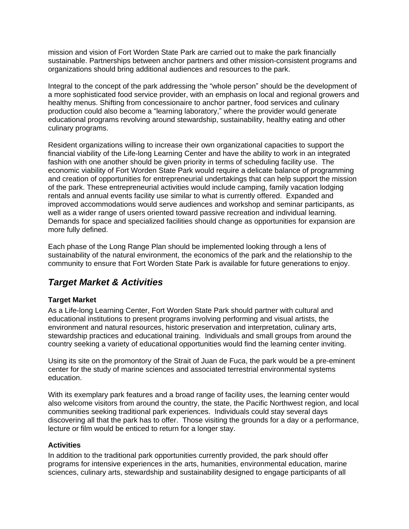mission and vision of Fort Worden State Park are carried out to make the park financially sustainable. Partnerships between anchor partners and other mission-consistent programs and organizations should bring additional audiences and resources to the park.

Integral to the concept of the park addressing the "whole person" should be the development of a more sophisticated food service provider, with an emphasis on local and regional growers and healthy menus. Shifting from concessionaire to anchor partner, food services and culinary production could also become a "learning laboratory," where the provider would generate educational programs revolving around stewardship, sustainability, healthy eating and other culinary programs.

Resident organizations willing to increase their own organizational capacities to support the financial viability of the Life-long Learning Center and have the ability to work in an integrated fashion with one another should be given priority in terms of scheduling facility use. The economic viability of Fort Worden State Park would require a delicate balance of programming and creation of opportunities for entrepreneurial undertakings that can help support the mission of the park. These entrepreneurial activities would include camping, family vacation lodging rentals and annual events facility use similar to what is currently offered. Expanded and improved accommodations would serve audiences and workshop and seminar participants, as well as a wider range of users oriented toward passive recreation and individual learning. Demands for space and specialized facilities should change as opportunities for expansion are more fully defined.

Each phase of the Long Range Plan should be implemented looking through a lens of sustainability of the natural environment, the economics of the park and the relationship to the community to ensure that Fort Worden State Park is available for future generations to enjoy.

# *Target Market & Activities*

### **Target Market**

As a Life-long Learning Center, Fort Worden State Park should partner with cultural and educational institutions to present programs involving performing and visual artists, the environment and natural resources, historic preservation and interpretation, culinary arts, stewardship practices and educational training. Individuals and small groups from around the country seeking a variety of educational opportunities would find the learning center inviting.

Using its site on the promontory of the Strait of Juan de Fuca, the park would be a pre-eminent center for the study of marine sciences and associated terrestrial environmental systems education.

With its exemplary park features and a broad range of facility uses, the learning center would also welcome visitors from around the country, the state, the Pacific Northwest region, and local communities seeking traditional park experiences. Individuals could stay several days discovering all that the park has to offer. Those visiting the grounds for a day or a performance, lecture or film would be enticed to return for a longer stay.

### **Activities**

In addition to the traditional park opportunities currently provided, the park should offer programs for intensive experiences in the arts, humanities, environmental education, marine sciences, culinary arts, stewardship and sustainability designed to engage participants of all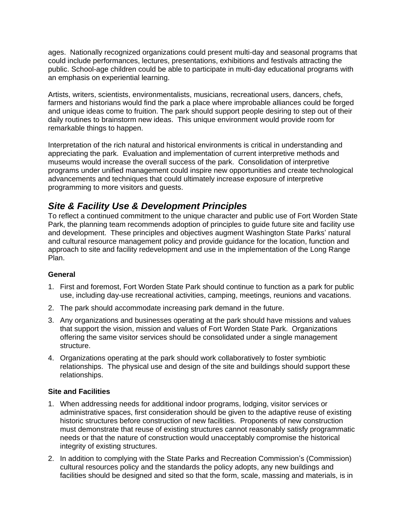ages. Nationally recognized organizations could present multi-day and seasonal programs that could include performances, lectures, presentations, exhibitions and festivals attracting the public. School-age children could be able to participate in multi-day educational programs with an emphasis on experiential learning.

Artists, writers, scientists, environmentalists, musicians, recreational users, dancers, chefs, farmers and historians would find the park a place where improbable alliances could be forged and unique ideas come to fruition. The park should support people desiring to step out of their daily routines to brainstorm new ideas. This unique environment would provide room for remarkable things to happen.

Interpretation of the rich natural and historical environments is critical in understanding and appreciating the park. Evaluation and implementation of current interpretive methods and museums would increase the overall success of the park. Consolidation of interpretive programs under unified management could inspire new opportunities and create technological advancements and techniques that could ultimately increase exposure of interpretive programming to more visitors and guests.

# *Site & Facility Use & Development Principles*

To reflect a continued commitment to the unique character and public use of Fort Worden State Park, the planning team recommends adoption of principles to guide future site and facility use and development. These principles and objectives augment Washington State Parks' natural and cultural resource management policy and provide guidance for the location, function and approach to site and facility redevelopment and use in the implementation of the Long Range Plan.

### **General**

- 1. First and foremost, Fort Worden State Park should continue to function as a park for public use, including day-use recreational activities, camping, meetings, reunions and vacations.
- 2. The park should accommodate increasing park demand in the future.
- 3. Any organizations and businesses operating at the park should have missions and values that support the vision, mission and values of Fort Worden State Park. Organizations offering the same visitor services should be consolidated under a single management structure.
- 4. Organizations operating at the park should work collaboratively to foster symbiotic relationships. The physical use and design of the site and buildings should support these relationships.

### **Site and Facilities**

- 1. When addressing needs for additional indoor programs, lodging, visitor services or administrative spaces, first consideration should be given to the adaptive reuse of existing historic structures before construction of new facilities. Proponents of new construction must demonstrate that reuse of existing structures cannot reasonably satisfy programmatic needs or that the nature of construction would unacceptably compromise the historical integrity of existing structures.
- 2. In addition to complying with the State Parks and Recreation Commission's (Commission) cultural resources policy and the standards the policy adopts, any new buildings and facilities should be designed and sited so that the form, scale, massing and materials, is in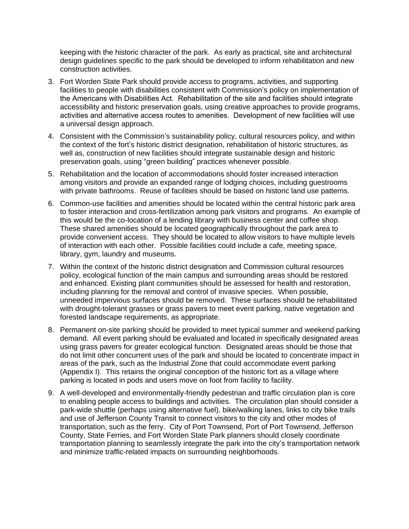keeping with the historic character of the park. As early as practical, site and architectural design guidelines specific to the park should be developed to inform rehabilitation and new construction activities.

- 3. Fort Worden State Park should provide access to programs, activities, and supporting facilities to people with disabilities consistent with Commission's policy on implementation of the Americans with Disabilities Act. Rehabilitation of the site and facilities should integrate accessibility and historic preservation goals, using creative approaches to provide programs, activities and alternative access routes to amenities. Development of new facilities will use a universal design approach.
- 4. Consistent with the Commission's sustainability policy, cultural resources policy, and within the context of the fort's historic district designation, rehabilitation of historic structures, as well as, construction of new facilities should integrate sustainable design and historic preservation goals, using "green building" practices whenever possible.
- 5. Rehabilitation and the location of accommodations should foster increased interaction among visitors and provide an expanded range of lodging choices, including guestrooms with private bathrooms. Reuse of facilities should be based on historic land use patterns.
- 6. Common-use facilities and amenities should be located within the central historic park area to foster interaction and cross-fertilization among park visitors and programs. An example of this would be the co-location of a lending library with business center and coffee shop. These shared amenities should be located geographically throughout the park area to provide convenient access. They should be located to allow visitors to have multiple levels of interaction with each other. Possible facilities could include a cafe, meeting space, library, gym, laundry and museums.
- 7. Within the context of the historic district designation and Commission cultural resources policy, ecological function of the main campus and surrounding areas should be restored and enhanced. Existing plant communities should be assessed for health and restoration, including planning for the removal and control of invasive species. When possible, unneeded impervious surfaces should be removed. These surfaces should be rehabilitated with drought-tolerant grasses or grass pavers to meet event parking, native vegetation and forested landscape requirements, as appropriate.
- 8. Permanent on-site parking should be provided to meet typical summer and weekend parking demand. All event parking should be evaluated and located in specifically designated areas using grass pavers for greater ecological function. Designated areas should be those that do not limit other concurrent uses of the park and should be located to concentrate impact in areas of the park, such as the Industrial Zone that could accommodate event parking (Appendix I). This retains the original conception of the historic fort as a village where parking is located in pods and users move on foot from facility to facility.
- 9. A well-developed and environmentally-friendly pedestrian and traffic circulation plan is core to enabling people access to buildings and activities. The circulation plan should consider a park-wide shuttle (perhaps using alternative fuel), bike/walking lanes, links to city bike trails and use of Jefferson County Transit to connect visitors to the city and other modes of transportation, such as the ferry. City of Port Townsend, Port of Port Townsend, Jefferson County, State Ferries, and Fort Worden State Park planners should closely coordinate transportation planning to seamlessly integrate the park into the city's transportation network and minimize traffic-related impacts on surrounding neighborhoods.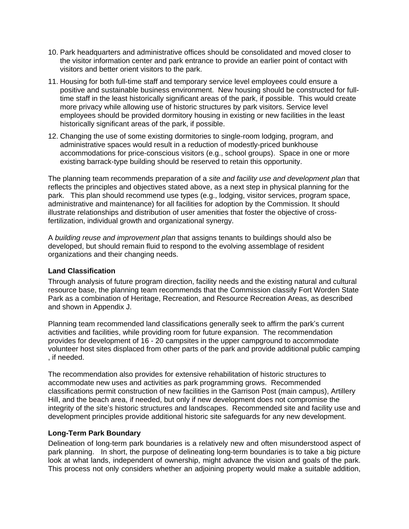- 10. Park headquarters and administrative offices should be consolidated and moved closer to the visitor information center and park entrance to provide an earlier point of contact with visitors and better orient visitors to the park.
- 11. Housing for both full-time staff and temporary service level employees could ensure a positive and sustainable business environment. New housing should be constructed for fulltime staff in the least historically significant areas of the park, if possible. This would create more privacy while allowing use of historic structures by park visitors. Service level employees should be provided dormitory housing in existing or new facilities in the least historically significant areas of the park, if possible.
- 12. Changing the use of some existing dormitories to single-room lodging, program, and administrative spaces would result in a reduction of modestly-priced bunkhouse accommodations for price-conscious visitors (e.g., school groups). Space in one or more existing barrack-type building should be reserved to retain this opportunity.

The planning team recommends preparation of a *site and facility use and development plan* that reflects the principles and objectives stated above, as a next step in physical planning for the park. This plan should recommend use types (e.g., lodging, visitor services, program space, administrative and maintenance) for all facilities for adoption by the Commission. It should illustrate relationships and distribution of user amenities that foster the objective of crossfertilization, individual growth and organizational synergy.

A *building reuse and improvement plan* that assigns tenants to buildings should also be developed, but should remain fluid to respond to the evolving assemblage of resident organizations and their changing needs.

### **Land Classification**

Through analysis of future program direction, facility needs and the existing natural and cultural resource base, the planning team recommends that the Commission classify Fort Worden State Park as a combination of Heritage, Recreation, and Resource Recreation Areas, as described and shown in Appendix J.

Planning team recommended land classifications generally seek to affirm the park's current activities and facilities, while providing room for future expansion. The recommendation provides for development of 16 - 20 campsites in the upper campground to accommodate volunteer host sites displaced from other parts of the park and provide additional public camping , if needed.

The recommendation also provides for extensive rehabilitation of historic structures to accommodate new uses and activities as park programming grows. Recommended classifications permit construction of new facilities in the Garrison Post (main campus), Artillery Hill, and the beach area, if needed, but only if new development does not compromise the integrity of the site's historic structures and landscapes. Recommended site and facility use and development principles provide additional historic site safeguards for any new development.

### **Long-Term Park Boundary**

Delineation of long-term park boundaries is a relatively new and often misunderstood aspect of park planning. In short, the purpose of delineating long-term boundaries is to take a big picture look at what lands, independent of ownership, might advance the vision and goals of the park. This process not only considers whether an adjoining property would make a suitable addition,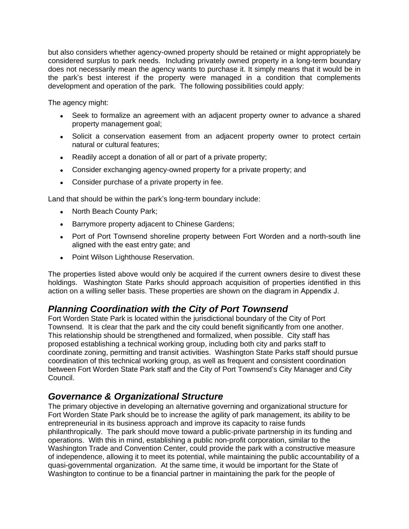but also considers whether agency-owned property should be retained or might appropriately be considered surplus to park needs. Including privately owned property in a long-term boundary does not necessarily mean the agency wants to purchase it. It simply means that it would be in the park's best interest if the property were managed in a condition that complements development and operation of the park. The following possibilities could apply:

The agency might:

- Seek to formalize an agreement with an adjacent property owner to advance a shared property management goal;
- Solicit a conservation easement from an adjacent property owner to protect certain natural or cultural features;
- Readily accept a donation of all or part of a private property;
- Consider exchanging agency-owned property for a private property; and
- Consider purchase of a private property in fee.

Land that should be within the park's long-term boundary include:

- North Beach County Park;
- Barrymore property adjacent to Chinese Gardens;
- Port of Port Townsend shoreline property between Fort Worden and a north-south line aligned with the east entry gate; and
- Point Wilson Lighthouse Reservation.

The properties listed above would only be acquired if the current owners desire to divest these holdings. Washington State Parks should approach acquisition of properties identified in this action on a willing seller basis. These properties are shown on the diagram in Appendix J.

# *Planning Coordination with the City of Port Townsend*

Fort Worden State Park is located within the jurisdictional boundary of the City of Port Townsend. It is clear that the park and the city could benefit significantly from one another. This relationship should be strengthened and formalized, when possible. City staff has proposed establishing a technical working group, including both city and parks staff to coordinate zoning, permitting and transit activities. Washington State Parks staff should pursue coordination of this technical working group, as well as frequent and consistent coordination between Fort Worden State Park staff and the City of Port Townsend's City Manager and City Council.

# *Governance & Organizational Structure*

The primary objective in developing an alternative governing and organizational structure for Fort Worden State Park should be to increase the agility of park management, its ability to be entrepreneurial in its business approach and improve its capacity to raise funds philanthropically. The park should move toward a public-private partnership in its funding and operations. With this in mind, establishing a public non-profit corporation, similar to the Washington Trade and Convention Center, could provide the park with a constructive measure of independence, allowing it to meet its potential, while maintaining the public accountability of a quasi-governmental organization. At the same time, it would be important for the State of Washington to continue to be a financial partner in maintaining the park for the people of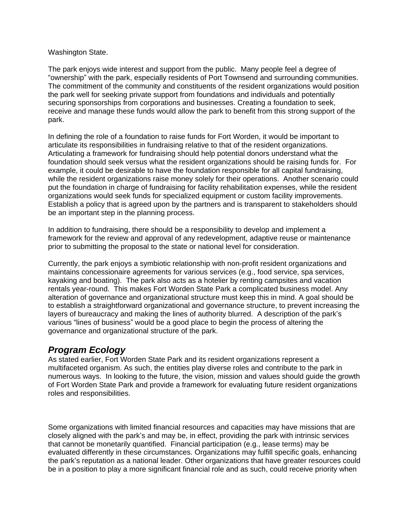### Washington State.

The park enjoys wide interest and support from the public. Many people feel a degree of "ownership" with the park, especially residents of Port Townsend and surrounding communities. The commitment of the community and constituents of the resident organizations would position the park well for seeking private support from foundations and individuals and potentially securing sponsorships from corporations and businesses. Creating a foundation to seek, receive and manage these funds would allow the park to benefit from this strong support of the park.

In defining the role of a foundation to raise funds for Fort Worden, it would be important to articulate its responsibilities in fundraising relative to that of the resident organizations. Articulating a framework for fundraising should help potential donors understand what the foundation should seek versus what the resident organizations should be raising funds for. For example, it could be desirable to have the foundation responsible for all capital fundraising, while the resident organizations raise money solely for their operations. Another scenario could put the foundation in charge of fundraising for facility rehabilitation expenses, while the resident organizations would seek funds for specialized equipment or custom facility improvements. Establish a policy that is agreed upon by the partners and is transparent to stakeholders should be an important step in the planning process.

In addition to fundraising, there should be a responsibility to develop and implement a framework for the review and approval of any redevelopment, adaptive reuse or maintenance prior to submitting the proposal to the state or national level for consideration.

Currently, the park enjoys a symbiotic relationship with non-profit resident organizations and maintains concessionaire agreements for various services (e.g., food service, spa services, kayaking and boating). The park also acts as a hotelier by renting campsites and vacation rentals year-round. This makes Fort Worden State Park a complicated business model. Any alteration of governance and organizational structure must keep this in mind. A goal should be to establish a straightforward organizational and governance structure, to prevent increasing the layers of bureaucracy and making the lines of authority blurred. A description of the park's various "lines of business" would be a good place to begin the process of altering the governance and organizational structure of the park.

# *Program Ecology*

As stated earlier, Fort Worden State Park and its resident organizations represent a multifaceted organism. As such, the entities play diverse roles and contribute to the park in numerous ways. In looking to the future, the vision, mission and values should guide the growth of Fort Worden State Park and provide a framework for evaluating future resident organizations roles and responsibilities.

Some organizations with limited financial resources and capacities may have missions that are closely aligned with the park's and may be, in effect, providing the park with intrinsic services that cannot be monetarily quantified. Financial participation (e.g., lease terms) may be evaluated differently in these circumstances. Organizations may fulfill specific goals, enhancing the park's reputation as a national leader. Other organizations that have greater resources could be in a position to play a more significant financial role and as such, could receive priority when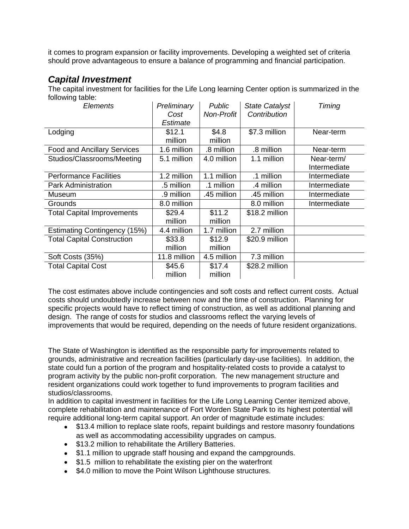it comes to program expansion or facility improvements. Developing a weighted set of criteria should prove advantageous to ensure a balance of programming and financial participation.

# *Capital Investment*

The capital investment for facilities for the Life Long learning Center option is summarized in the following table:

| <b>Elements</b>                     | Preliminary  | <b>Public</b>     | <b>State Catalyst</b> | Timing       |
|-------------------------------------|--------------|-------------------|-----------------------|--------------|
|                                     | Cost         | <b>Non-Profit</b> | Contribution          |              |
|                                     | Estimate     |                   |                       |              |
| Lodging                             | \$12.1       | \$4.8             | \$7.3 million         | Near-term    |
|                                     | million      | million           |                       |              |
| <b>Food and Ancillary Services</b>  | 1.6 million  | .8 million        | .8 million            | Near-term    |
| Studios/Classrooms/Meeting          | 5.1 million  | 4.0 million       | 1.1 million           | Near-term/   |
|                                     |              |                   |                       | Intermediate |
| <b>Performance Facilities</b>       | 1.2 million  | 1.1 million       | .1 million            | Intermediate |
| Park Administration                 | .5 million   | .1 million        | .4 million            | Intermediate |
| Museum                              | .9 million   | .45 million       | .45 million           | Intermediate |
| Grounds                             | 8.0 million  |                   | 8.0 million           | Intermediate |
| <b>Total Capital Improvements</b>   | \$29.4       | \$11.2            | \$18.2 million        |              |
|                                     | million      | million           |                       |              |
| <b>Estimating Contingency (15%)</b> | 4.4 million  | 1.7 million       | 2.7 million           |              |
| <b>Total Capital Construction</b>   | \$33.8       | \$12.9            | \$20.9 million        |              |
|                                     | million      | million           |                       |              |
| Soft Costs (35%)                    | 11.8 million | 4.5 million       | 7.3 million           |              |
| <b>Total Capital Cost</b>           | \$45.6       | \$17.4            | \$28.2 million        |              |
|                                     | million      | million           |                       |              |

The cost estimates above include contingencies and soft costs and reflect current costs. Actual costs should undoubtedly increase between now and the time of construction. Planning for specific projects would have to reflect timing of construction, as well as additional planning and design. The range of costs for studios and classrooms reflect the varying levels of improvements that would be required, depending on the needs of future resident organizations.

The State of Washington is identified as the responsible party for improvements related to grounds, administrative and recreation facilities (particularly day-use facilities). In addition, the state could fun a portion of the program and hospitality-related costs to provide a catalyst to program activity by the public non-profit corporation. The new management structure and resident organizations could work together to fund improvements to program facilities and studios/classrooms.

In addition to capital investment in facilities for the Life Long Learning Center itemized above, complete rehabilitation and maintenance of Fort Worden State Park to its highest potential will require additional long-term capital support. An order of magnitude estimate includes:

- \$13.4 million to replace slate roofs, repaint buildings and restore masonry foundations as well as accommodating accessibility upgrades on campus.
- \$13.2 million to rehabilitate the Artillery Batteries.
- \$1.1 million to upgrade staff housing and expand the campgrounds.
- \$1.5 million to rehabilitate the existing pier on the waterfront
- \$4.0 million to move the Point Wilson Lighthouse structures.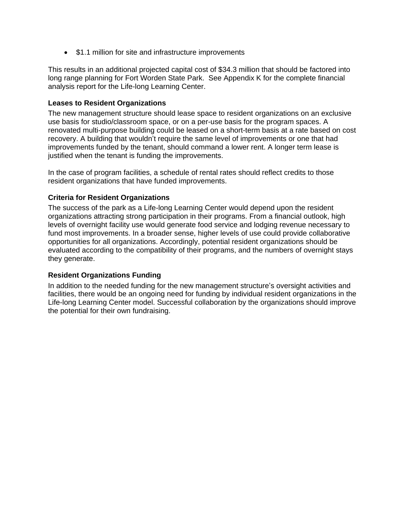• \$1.1 million for site and infrastructure improvements

This results in an additional projected capital cost of \$34.3 million that should be factored into long range planning for Fort Worden State Park. See Appendix K for the complete financial analysis report for the Life-long Learning Center.

### **Leases to Resident Organizations**

The new management structure should lease space to resident organizations on an exclusive use basis for studio/classroom space, or on a per-use basis for the program spaces. A renovated multi-purpose building could be leased on a short-term basis at a rate based on cost recovery. A building that wouldn't require the same level of improvements or one that had improvements funded by the tenant, should command a lower rent. A longer term lease is justified when the tenant is funding the improvements.

In the case of program facilities, a schedule of rental rates should reflect credits to those resident organizations that have funded improvements.

### **Criteria for Resident Organizations**

The success of the park as a Life-long Learning Center would depend upon the resident organizations attracting strong participation in their programs. From a financial outlook, high levels of overnight facility use would generate food service and lodging revenue necessary to fund most improvements. In a broader sense, higher levels of use could provide collaborative opportunities for all organizations. Accordingly, potential resident organizations should be evaluated according to the compatibility of their programs, and the numbers of overnight stays they generate.

### **Resident Organizations Funding**

In addition to the needed funding for the new management structure's oversight activities and facilities, there would be an ongoing need for funding by individual resident organizations in the Life-long Learning Center model. Successful collaboration by the organizations should improve the potential for their own fundraising.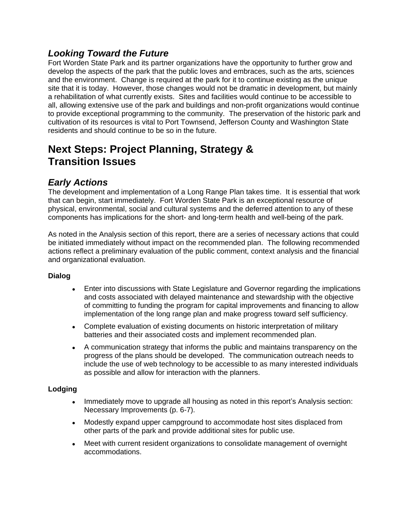# *Looking Toward the Future*

Fort Worden State Park and its partner organizations have the opportunity to further grow and develop the aspects of the park that the public loves and embraces, such as the arts, sciences and the environment. Change is required at the park for it to continue existing as the unique site that it is today. However, those changes would not be dramatic in development, but mainly a rehabilitation of what currently exists. Sites and facilities would continue to be accessible to all, allowing extensive use of the park and buildings and non-profit organizations would continue to provide exceptional programming to the community. The preservation of the historic park and cultivation of its resources is vital to Port Townsend, Jefferson County and Washington State residents and should continue to be so in the future.

# **Next Steps: Project Planning, Strategy & Transition Issues**

# *Early Actions*

The development and implementation of a Long Range Plan takes time. It is essential that work that can begin, start immediately. Fort Worden State Park is an exceptional resource of physical, environmental, social and cultural systems and the deferred attention to any of these components has implications for the short- and long-term health and well-being of the park.

As noted in the Analysis section of this report, there are a series of necessary actions that could be initiated immediately without impact on the recommended plan. The following recommended actions reflect a preliminary evaluation of the public comment, context analysis and the financial and organizational evaluation.

### **Dialog**

- Enter into discussions with State Legislature and Governor regarding the implications and costs associated with delayed maintenance and stewardship with the objective of committing to funding the program for capital improvements and financing to allow implementation of the long range plan and make progress toward self sufficiency.
- Complete evaluation of existing documents on historic interpretation of military batteries and their associated costs and implement recommended plan.
- A communication strategy that informs the public and maintains transparency on the progress of the plans should be developed. The communication outreach needs to include the use of web technology to be accessible to as many interested individuals as possible and allow for interaction with the planners.

### **Lodging**

- Immediately move to upgrade all housing as noted in this report's Analysis section: Necessary Improvements (p. 6-7).
- Modestly expand upper campground to accommodate host sites displaced from other parts of the park and provide additional sites for public use.
- Meet with current resident organizations to consolidate management of overnight accommodations.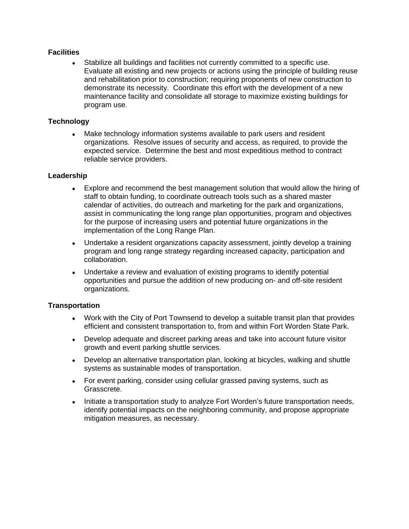### **Facilities**

 Stabilize all buildings and facilities not currently committed to a specific use. Evaluate all existing and new projects or actions using the principle of building reuse and rehabilitation prior to construction; requiring proponents of new construction to demonstrate its necessity. Coordinate this effort with the development of a new maintenance facility and consolidate all storage to maximize existing buildings for program use.

### **Technology**

 Make technology information systems available to park users and resident organizations. Resolve issues of security and access, as required, to provide the expected service. Determine the best and most expeditious method to contract reliable service providers.

### **Leadership**

- Explore and recommend the best management solution that would allow the hiring of staff to obtain funding, to coordinate outreach tools such as a shared master calendar of activities, do outreach and marketing for the park and organizations, assist in communicating the long range plan opportunities, program and objectives for the purpose of increasing users and potential future organizations in the implementation of the Long Range Plan.
- Undertake a resident organizations capacity assessment, jointly develop a training program and long range strategy regarding increased capacity, participation and collaboration.
- Undertake a review and evaluation of existing programs to identify potential opportunities and pursue the addition of new producing on- and off-site resident organizations.

### **Transportation**

- Work with the City of Port Townsend to develop a suitable transit plan that provides efficient and consistent transportation to, from and within Fort Worden State Park.
- Develop adequate and discreet parking areas and take into account future visitor growth and event parking shuttle services.
- Develop an alternative transportation plan, looking at bicycles, walking and shuttle systems as sustainable modes of transportation.
- For event parking, consider using cellular grassed paving systems, such as Grasscrete.
- Initiate a transportation study to analyze Fort Worden's future transportation needs, identify potential impacts on the neighboring community, and propose appropriate mitigation measures, as necessary.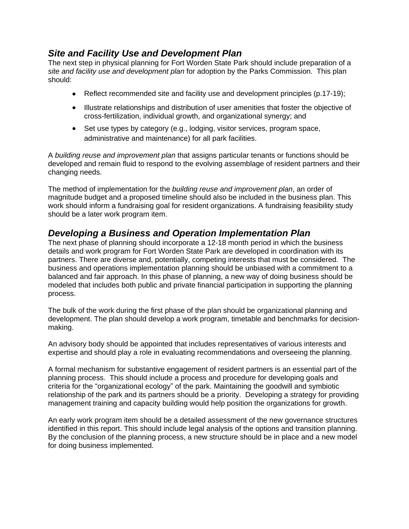### *Site and Facility Use and Development Plan*

The next step in physical planning for Fort Worden State Park should include preparation of a *site and facility use and development plan* for adoption by the Parks Commission.This plan should:

- Reflect recommended site and facility use and development principles (p.17-19);
- Illustrate relationships and distribution of user amenities that foster the objective of cross-fertilization, individual growth, and organizational synergy; and
- Set use types by category (e.g., lodging, visitor services, program space, administrative and maintenance) for all park facilities.

A *building reuse and improvement plan* that assigns particular tenants or functions should be developed and remain fluid to respond to the evolving assemblage of resident partners and their changing needs.

The method of implementation for the *building reuse and improvement plan*, an order of magnitude budget and a proposed timeline should also be included in the business plan. This work should inform a fundraising goal for resident organizations. A fundraising feasibility study should be a later work program item.

# *Developing a Business and Operation Implementation Plan*

The next phase of planning should incorporate a 12-18 month period in which the business details and work program for Fort Worden State Park are developed in coordination with its partners. There are diverse and, potentially, competing interests that must be considered. The business and operations implementation planning should be unbiased with a commitment to a balanced and fair approach. In this phase of planning, a new way of doing business should be modeled that includes both public and private financial participation in supporting the planning process.

The bulk of the work during the first phase of the plan should be organizational planning and development. The plan should develop a work program, timetable and benchmarks for decisionmaking.

An advisory body should be appointed that includes representatives of various interests and expertise and should play a role in evaluating recommendations and overseeing the planning.

A formal mechanism for substantive engagement of resident partners is an essential part of the planning process. This should include a process and procedure for developing goals and criteria for the "organizational ecology" of the park. Maintaining the goodwill and symbiotic relationship of the park and its partners should be a priority. Developing a strategy for providing management training and capacity building would help position the organizations for growth.

An early work program item should be a detailed assessment of the new governance structures identified in this report. This should include legal analysis of the options and transition planning. By the conclusion of the planning process, a new structure should be in place and a new model for doing business implemented.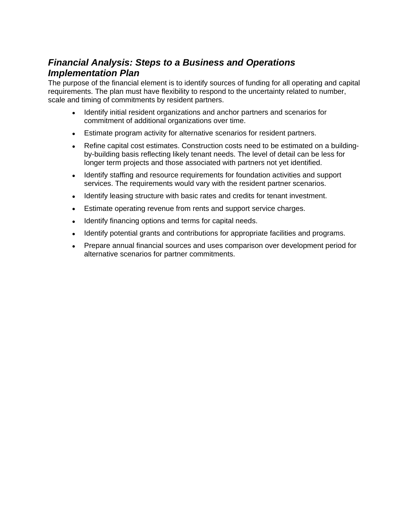# *Financial Analysis: Steps to a Business and Operations Implementation Plan*

The purpose of the financial element is to identify sources of funding for all operating and capital requirements. The plan must have flexibility to respond to the uncertainty related to number, scale and timing of commitments by resident partners.

- Identify initial resident organizations and anchor partners and scenarios for commitment of additional organizations over time.
- Estimate program activity for alternative scenarios for resident partners.
- Refine capital cost estimates. Construction costs need to be estimated on a buildingby-building basis reflecting likely tenant needs. The level of detail can be less for longer term projects and those associated with partners not yet identified.
- Identify staffing and resource requirements for foundation activities and support services. The requirements would vary with the resident partner scenarios.
- Identify leasing structure with basic rates and credits for tenant investment.
- Estimate operating revenue from rents and support service charges.
- Identify financing options and terms for capital needs.
- Identify potential grants and contributions for appropriate facilities and programs.
- Prepare annual financial sources and uses comparison over development period for alternative scenarios for partner commitments.